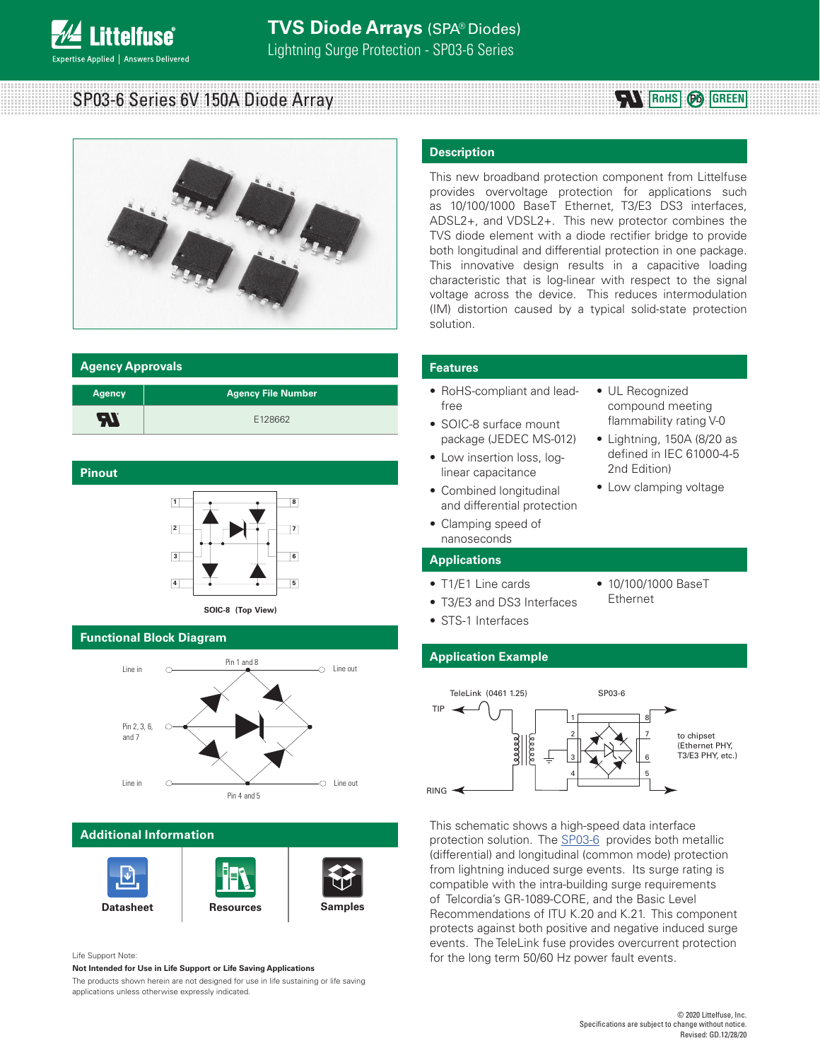# **TVS Diode Arrays** (SPA® Diodes)

Lightning Surge Protection - SP03-6 Series

SP03-6 Series 6V 150A Diode Array



# **Agency Approvals**

**ittelfuse** 

Expertise Applied | Answers Delivered

| <b>Agency</b> | <b>Agency File Number</b> |
|---------------|---------------------------|
| 77            | E128662                   |

# **Pinout**



# **SOIC-8 (Top View)**

# **Functional Block Diagram**



# **Additional Information**



### Life Support Note:

**Not Intended for Use in Life Support or Life Saving Applications**

The products shown herein are not designed for use in life sustaining or life saving applications unless otherwise expressly indicated.

## **Description**

This new broadband protection component from Littelfuse provides overvoltage protection for applications such as 10/100/1000 BaseT Ethernet, T3/E3 DS3 interfaces, ADSL2+, and VDSL2+. This new protector combines the TVS diode element with a diode rectifier bridge to provide both longitudinal and differential protection in one package. This innovative design results in a capacitive loading characteristic that is log-linear with respect to the signal voltage across the device. This reduces intermodulation (IM) distortion caused by a typical solid-state protection solution.

### **Features**

- RoHS-compliant and leadfree
- SOIC-8 surface mount package (JEDEC MS-012)
- Low insertion loss, loglinear capacitance
- Combined longitudinal and differential protection
- Clamping speed of nanoseconds

### **Applications**

- T1/E1 Line cards
- T3/E3 and DS3 Interfaces
- 10/100/1000 BaseT Ethernet

• UL Recognized compound meeting flammability rating V-0 • Lightning, 150A (8/20 as defined in IEC 61000-4-5

**RoHS Pb GREEN**

2nd Edition)

• Low clamping voltage

• STS-1 Interfaces

# **Application Example**



This schematic shows a high-speed data interface protection solution. The SP03-6 provides both metallic (differential) and longitudinal (common mode) protection from lightning induced surge events. Its surge rating is compatible with the intra-building surge requirements of Telcordia's GR-1089-CORE, and the Basic Level Recommendations of ITU K.20 and K.21. This component protects against both positive and negative induced surge events. The TeleLink fuse provides overcurrent protection for the long term 50/60 Hz power fault events.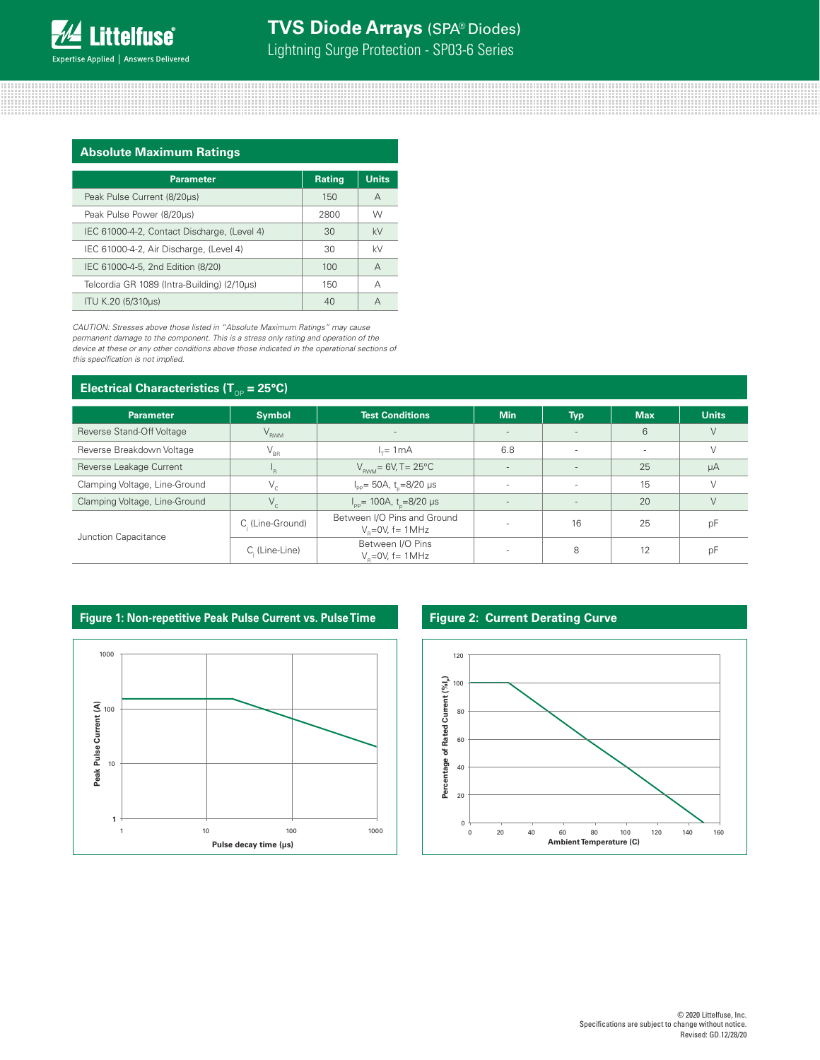Lightning Surge Protection - SP03-6 Series

## **Absolute Maximum Ratings**

| <b>Parameter</b>                            | <b>Rating</b> | <b>Units</b> |
|---------------------------------------------|---------------|--------------|
| Peak Pulse Current (8/20us)                 | 150           | A            |
| Peak Pulse Power (8/20µs)                   | 2800          | W            |
| IEC 61000-4-2, Contact Discharge, (Level 4) | 30            | kV           |
| IEC 61000-4-2, Air Discharge, (Level 4)     | 30            | kV           |
| IEC 61000-4-5, 2nd Edition (8/20)           | 100           | A            |
| Telcordia GR 1089 (Intra-Building) (2/10µs) | 150           | А            |
| ITU K.20 (5/310us)                          | 40            | А            |

*CAUTION: Stresses above those listed in "Absolute Maximum Ratings" may cause permanent damage to the component. This is a stress only rating and operation of the device at these or any other conditions above those indicated in the operational sections of this specification is not implied.*

# **Electrical Characteristics (T<sub>op</sub> = 25°C)**

|                               | ◡                              |                                                      |                          |            |            |              |
|-------------------------------|--------------------------------|------------------------------------------------------|--------------------------|------------|------------|--------------|
| <b>Parameter</b>              | Symbol                         | <b>Test Conditions</b>                               | <b>Min</b>               | <b>Typ</b> | <b>Max</b> | <b>Units</b> |
| Reverse Stand-Off Voltage     | $V_{\rm RWM}$                  | $\overline{\phantom{a}}$                             | $\overline{\phantom{a}}$ |            | 6          |              |
| Reverse Breakdown Voltage     | $\mathsf{V}_{\text{\tiny BR}}$ | $L = 1mA$                                            | 6.8                      |            | $\sim$     |              |
| Reverse Leakage Current       | <sup>1</sup> R                 | $V_{\text{FWM}}$ = 6V, T = 25°C                      |                          |            | 25         | μA           |
| Clamping Voltage, Line-Ground | $V_c$                          | $I_{\text{pp}}$ = 50A, t <sub>n</sub> =8/20 µs       | $\sim$                   | $\sim$     | 15         |              |
| Clamping Voltage, Line-Ground | $V_{\rm c}$                    | $I_{\text{pp}}$ = 100A, t <sub>o</sub> =8/20 µs      | $\overline{\phantom{a}}$ | $\sim$     | 20         |              |
| Junction Capacitance          | C. (Line-Ground)               | Between I/O Pins and Ground<br>$V_e = 0V$ , f = 1MHz | $\sim$                   | 16         | 25         | pF           |
|                               | $Ci$ (Line-Line)               | Between I/O Pins<br>$V_e = 0V$ , f = 1 MHz           |                          | 8          | 12         | рF           |

# **Figure 1: Non-repetitive Peak Pulse Current vs. Pulse Time Figure 2: Current Derating Curve**



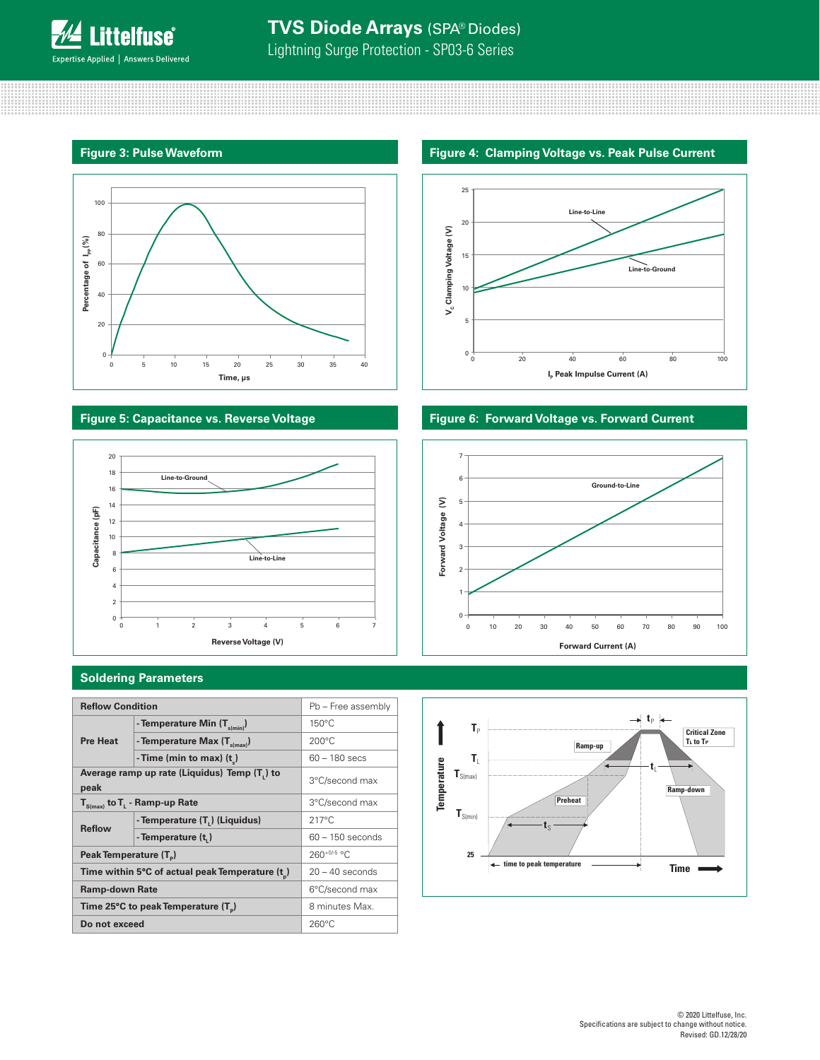

,,,,,,,,,,,,,,,,,,,,,,,,,,,,

# **TVS Diode Arrays** (SPA® Diodes)

Lightning Surge Protection - SP03-6 Series

# **Figure 3: Pulse Waveform**



88888888

# **Figure 5: Capacitance vs. Reverse Voltage**



# **Soldering Parameters**

| <b>Reflow Condition</b>                              |                                         | Pb - Free assembly |             |                              |                            |             |
|------------------------------------------------------|-----------------------------------------|--------------------|-------------|------------------------------|----------------------------|-------------|
|                                                      | - Temperature Min $(T_{s(min)})$        | $150^{\circ}$ C    |             | $T_{\rm p}$                  |                            |             |
| <b>Pre Heat</b>                                      | - Temperature Max $(T_{\text{s(max)}})$ | $200^{\circ}$ C    |             |                              | Ramp-up                    | Cı<br>Tu    |
|                                                      | - Time (min to max) $(t_*)$             | $60 - 180$ secs    |             | T.                           |                            |             |
| Average ramp up rate (Liquidus) Temp (T,) to<br>peak |                                         | 3°C/second max     | Temperature | $\textbf{T}_{S(max)}$        |                            | Ramp-d      |
| $T_{S(max)}$ to $T_{L}$ - Ramp-up Rate               |                                         | 3°C/second max     |             |                              | <b>Preheat</b>             |             |
|                                                      | - Temperature (T.) (Liquidus)           | $217^{\circ}$ C    |             | $\textbf{T}_{\text{S(min)}}$ |                            |             |
| <b>Reflow</b>                                        | - Temperature (t,)                      | $60 - 150$ seconds |             |                              |                            |             |
| Peak Temperature (T <sub>n</sub> )                   |                                         | $260+0/5$ °C.      |             | 25                           |                            |             |
| Time within 5°C of actual peak Temperature (t)       |                                         | $20 - 40$ seconds  |             |                              | ← time to peak temperature | <b>Time</b> |
| <b>Ramp-down Rate</b>                                |                                         | 6°C/second max     |             |                              |                            |             |
| Time 25°C to peak Temperature (T <sub>n</sub> )      |                                         | 8 minutes Max.     |             |                              |                            |             |
| Do not exceed                                        |                                         | $260^{\circ}$ C    |             |                              |                            |             |

# **Figure 4: Clamping Voltage vs. Peak Pulse Current**



# **Figure 6: Forward Voltage vs. Forward Current**